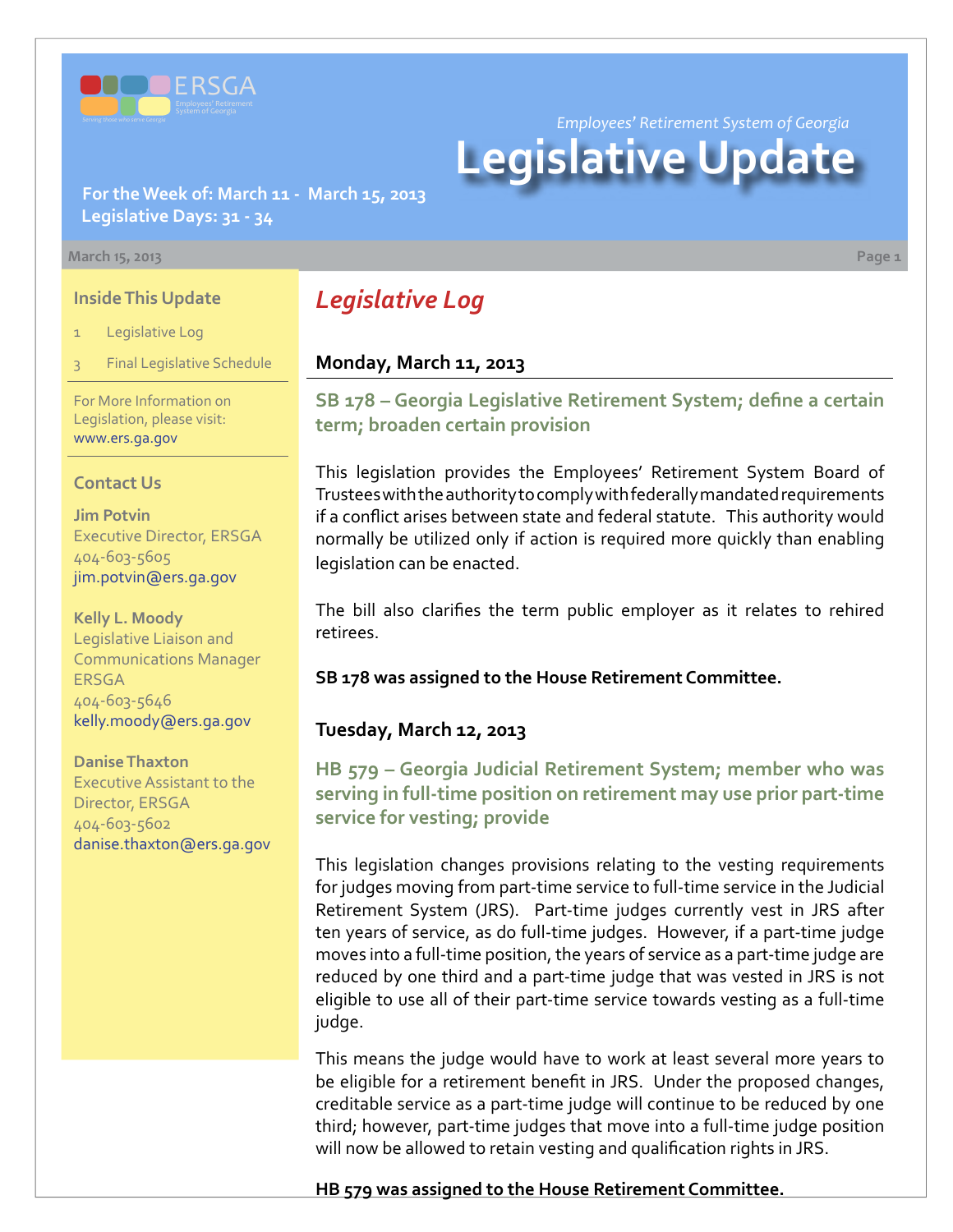

*Employees' Retirement System of Georgia*

# **Legislative Update**

**For the Week of: March 11 - March 15, 2013 Legislative Days: 31 - 34**

#### **March 15, 2013 Page 1**

#### **Inside This Update**

- Legislative Log
- **Final Legislative Schedule**

For More Information on Legislation, please visit: [www.ers.ga.gov](http://www.ers.ga.gov/default.aspx)

#### **Contact Us**

**Jim Potvin** Executive Director, ERSGA 404-603-5605 jim.potvin@ers.ga.gov

**Kelly L. Moody** Legislative Liaison and Communications Manager ERSGA 404-603-5646 kelly.moody@ers.ga.gov

**Danise Thaxton** Executive Assistant to the Director, ERSGA 404-603-5602 danise.thaxton@ers.ga.gov

# *Legislative Log*

#### **Monday, March 11, 2013**

**S[B 178 – G](http://www.legis.ga.gov/legislation/en-US/Display/20132014/SB/178)eorgia Legislative Retirement System; define a certain term; broaden certain provision**

This legislation provides the Employees' Retirement System Board of Trustees with the authority to comply with federally mandated requirements if a conflict arises between state and federal statute. This authority would normally be utilized only if action is required more quickly than enabling legislation can be enacted.

The bill also clarifies the term public employer as it relates to rehired retirees.

**SB 178 was assigned to the House Retirement Committee.** 

#### **Tuesday, March 12, 2013**

**HB 579 [– G](http://www.legis.ga.gov/legislation/en-US/Display/20132014/HB/579)eorgia Judicial Retirement System; member who was serving in full-time position on retirement may use prior part-time service for vesting; provide** 

This legislation changes provisions relating to the vesting requirements for judges moving from part-time service to full-time service in the Judicial Retirement System (JRS). Part-time judges currently vest in JRS after ten years of service, as do full-time judges. However, if a part-time judge moves into a full-time position, the years of service as a part-time judge are reduced by one third and a part-time judge that was vested in JRS is not eligible to use all of their part-time service towards vesting as a full-time judge.

This means the judge would have to work at least several more years to be eligible for a retirement benefit in JRS. Under the proposed changes, creditable service as a part-time judge will continue to be reduced by one third; however, part-time judges that move into a full-time judge position will now be allowed to retain vesting and qualification rights in JRS.

**HB 579 was assigned to the House Retirement Committee.**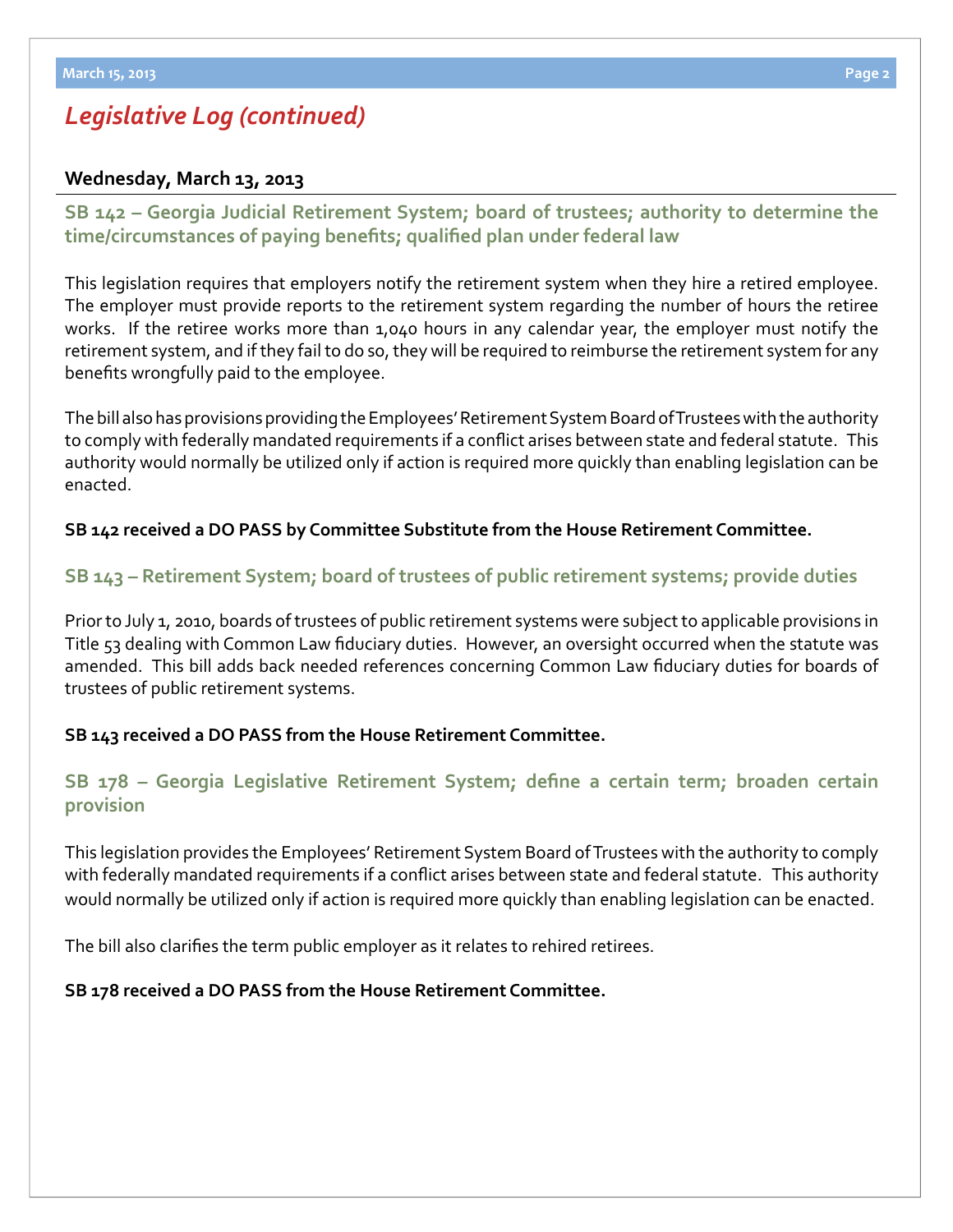# *Legislative Log (continued)*

#### **Wednesday, March 13, 2013**

**S[B 142 –](http://www.legis.ga.gov/legislation/en-US/Display/20132014/SB/142) Georgia Judicial Retirement System; board of trustees; authority to determine the time/circumstances of paying benefits; qualified plan under federal law**

This legislation requires that employers notify the retirement system when they hire a retired employee. The employer must provide reports to the retirement system regarding the number of hours the retiree works. If the retiree works more than 1,040 hours in any calendar year, the employer must notify the retirement system, and if they fail to do so, they will be required to reimburse the retirement system for any benefits wrongfully paid to the employee.

The bill also has provisions providing the Employees' Retirement System Board of Trustees with the authority to comply with federally mandated requirements if a conflict arises between state and federal statute. This authority would normally be utilized only if action is required more quickly than enabling legislation can be enacted.

#### **SB 142 received a DO PASS by Committee Substitute from the House Retirement Committee.**

#### **S[B 143 –](http://www.legis.ga.gov/legislation/en-US/Display/20132014/SB/143) Retirement System; board of trustees of public retirement systems; provide duties**

Prior to July 1, 2010, boards of trustees of public retirement systems were subject to applicable provisions in Title 53 dealing with Common Law fiduciary duties. However, an oversight occurred when the statute was amended. This bill adds back needed references concerning Common Law fiduciary duties for boards of trustees of public retirement systems.

#### **SB 143 received a DO PASS from the House Retirement Committee.**

### **S[B 178 –](http://www.legis.ga.gov/legislation/en-US/Display/20132014/SB/178) Georgia Legislative Retirement System; define a certain term; broaden certain provision**

This legislation provides the Employees' Retirement System Board of Trustees with the authority to comply with federally mandated requirements if a conflict arises between state and federal statute. This authority would normally be utilized only if action is required more quickly than enabling legislation can be enacted.

The bill also clarifies the term public employer as it relates to rehired retirees.

#### **SB 178 received a DO PASS from the House Retirement Committee.**